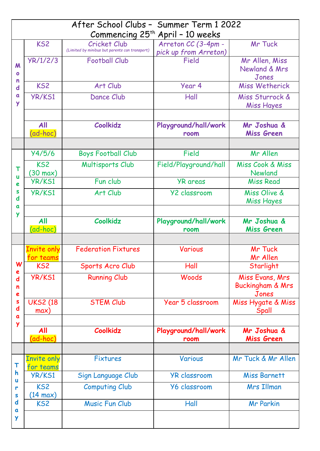| After School Clubs - Summer Term 1 2022<br>Commencing 25 <sup>th</sup> April - 10 weeks |                                       |                                                                |                                              |                                                         |  |  |
|-----------------------------------------------------------------------------------------|---------------------------------------|----------------------------------------------------------------|----------------------------------------------|---------------------------------------------------------|--|--|
| M<br>$\mathbf{o}$<br>n<br>$\mathbf d$<br>$\mathbf a$<br>Y                               | KS <sub>2</sub>                       | Cricket Club<br>(Limited by minibus but parents can transport) | Arreton CC (3-4pm -<br>pick up from Arreton) | Mr Tuck                                                 |  |  |
|                                                                                         | YR/1/2/3                              | <b>Football Club</b>                                           | Field                                        | Mr Allen, Miss<br>Newland & Mrs<br>Jones                |  |  |
|                                                                                         | KS <sub>2</sub>                       | Art Club                                                       | Year 4                                       | Miss Wetherick                                          |  |  |
|                                                                                         | <b>YR/KS1</b>                         | Dance Club                                                     | Hall                                         | Miss Sturrock &<br>Miss Hayes                           |  |  |
|                                                                                         | All<br>(ad-hoc)                       | Coolkidz                                                       | Playground/hall/work<br>room                 | Mr Joshua &<br><b>Miss Green</b>                        |  |  |
| u<br>e<br>S<br>$\mathbf d$                                                              | Y4/5/6                                | <b>Boys Football Club</b>                                      | Field                                        | Mr Allen                                                |  |  |
|                                                                                         | KS <sub>2</sub><br>$(30 \text{ max})$ | Multisports Club                                               | Field/Playground/hall                        | Miss Cook & Miss<br>Newland                             |  |  |
|                                                                                         | <b>YR/KS1</b>                         | Fun club                                                       | <b>YR</b> areas                              | <b>Miss Read</b>                                        |  |  |
|                                                                                         | YR/KS1                                | Art Club                                                       | <b>Y2 classroom</b>                          | Miss Olive &<br>Miss Hayes                              |  |  |
| $\mathbf a$<br>Y                                                                        |                                       |                                                                |                                              |                                                         |  |  |
|                                                                                         | All<br>(ad-hoc)                       | Coolkidz                                                       | Playground/hall/work<br>room                 | Mr Joshua &<br>Miss Green                               |  |  |
|                                                                                         |                                       |                                                                |                                              |                                                         |  |  |
|                                                                                         | <b>Invite only</b><br>for teams       | <b>Federation Fixtures</b>                                     | Various                                      | Mr Tuck<br>Mr Allen                                     |  |  |
| W<br>e                                                                                  | KS <sub>2</sub>                       | Sports Acro Club                                               | Hall                                         | Starlight                                               |  |  |
| $\mathbf d$<br>n<br>e<br>S<br>$\mathbf d$<br>$\mathbf a$<br>Y                           | YR/KS1                                | <b>Running Club</b>                                            | Woods                                        | Miss Evans, Mrs<br><b>Buckingham &amp; Mrs</b><br>Jones |  |  |
|                                                                                         | <b>UKS2 (18)</b><br>max)              | <b>STEM Club</b>                                               | Year 5 classroom                             | Miss Hygate & Miss<br>Spall                             |  |  |
|                                                                                         |                                       |                                                                |                                              |                                                         |  |  |
|                                                                                         | All<br>(ad-hoc)                       | Coolkidz                                                       | Playground/hall/work<br>room                 | Mr Joshua &<br><b>Miss Green</b>                        |  |  |
|                                                                                         |                                       |                                                                |                                              |                                                         |  |  |
| $\mathbf h$<br>U<br>r<br>S                                                              | <b>Invite only</b><br>for teams       | Fixtures                                                       | Various                                      | Mr Tuck & Mr Allen                                      |  |  |
|                                                                                         | YR/KS1                                | Sign Language Club                                             | <b>YR classroom</b>                          | Miss Barnett                                            |  |  |
|                                                                                         | KS2<br>$(14 \text{ max})$             | <b>Computing Club</b>                                          | <b>Y6 classroom</b>                          | Mrs Illman                                              |  |  |
| $\mathbf d$<br>a                                                                        | KS2                                   | Music Fun Club                                                 | Hall                                         | <b>Mr Parkin</b>                                        |  |  |
| Y                                                                                       |                                       |                                                                |                                              |                                                         |  |  |